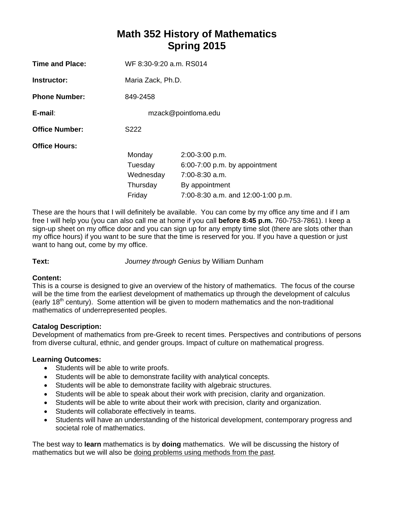# **Math 352 History of Mathematics Spring 2015**

| Time and Place:       | WF 8:30-9:20 a.m. RS014                              |                                                                                                                             |  |  |
|-----------------------|------------------------------------------------------|-----------------------------------------------------------------------------------------------------------------------------|--|--|
| Instructor:           | Maria Zack, Ph.D.                                    |                                                                                                                             |  |  |
| <b>Phone Number:</b>  | 849-2458                                             |                                                                                                                             |  |  |
| E-mail:               | mzack@pointloma.edu                                  |                                                                                                                             |  |  |
| <b>Office Number:</b> | S222                                                 |                                                                                                                             |  |  |
| <b>Office Hours:</b>  | Monday<br>Tuesday<br>Wednesday<br>Thursday<br>Friday | 2:00-3:00 p.m.<br>$6:00-7:00$ p.m. by appointment<br>7:00-8:30 a.m.<br>By appointment<br>7:00-8:30 a.m. and 12:00-1:00 p.m. |  |  |

These are the hours that I will definitely be available. You can come by my office any time and if I am free I will help you (you can also call me at home if you call **before 8:45 p.m.** 760-753-7861). I keep a sign-up sheet on my office door and you can sign up for any empty time slot (there are slots other than my office hours) if you want to be sure that the time is reserved for you. If you have a question or just want to hang out, come by my office.

**Text:** *Journey through Genius* by William Dunham

## **Content:**

This is a course is designed to give an overview of the history of mathematics. The focus of the course will be the time from the earliest development of mathematics up through the development of calculus (early  $18<sup>th</sup>$  century). Some attention will be given to modern mathematics and the non-traditional mathematics of underrepresented peoples.

# **Catalog Description:**

Development of mathematics from pre-Greek to recent times. Perspectives and contributions of persons from diverse cultural, ethnic, and gender groups. Impact of culture on mathematical progress.

# **Learning Outcomes:**

- Students will be able to write proofs.
- Students will be able to demonstrate facility with analytical concepts.
- Students will be able to demonstrate facility with algebraic structures.
- Students will be able to speak about their work with precision, clarity and organization.
- Students will be able to write about their work with precision, clarity and organization.
- Students will collaborate effectively in teams.
- Students will have an understanding of the historical development, contemporary progress and societal role of mathematics.

The best way to **learn** mathematics is by **doing** mathematics.We will be discussing the history of mathematics but we will also be doing problems using methods from the past.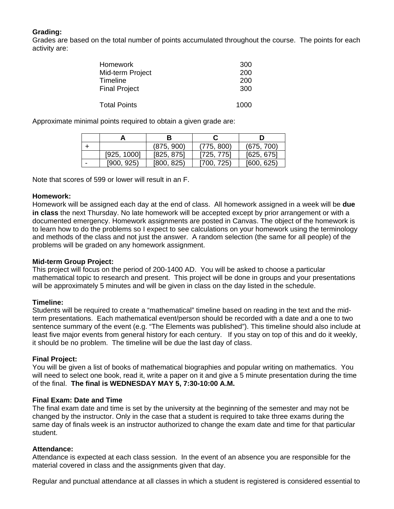# **Grading:**

Grades are based on the total number of points accumulated throughout the course. The points for each activity are:

| <b>Homework</b>      | 300  |
|----------------------|------|
| Mid-term Project     | 200  |
| Timeline             | 200  |
| <b>Final Project</b> | 300  |
| <b>Total Points</b>  | 1000 |

Approximate minimal points required to obtain a given grade are:

|   |             | В          |            |            |
|---|-------------|------------|------------|------------|
|   |             | (875, 900) | (775, 800) | (675, 700) |
|   | [925, 1000] | [825, 875] | [725, 775] | [625, 675] |
| - | [900, 925]  | [800, 825] | 1700, 725) | [600, 625] |

Note that scores of 599 or lower will result in an F.

## **Homework:**

Homework will be assigned each day at the end of class. All homework assigned in a week will be **due in class** the next Thursday. No late homework will be accepted except by prior arrangement or with a documented emergency. Homework assignments are posted in Canvas. The object of the homework is to learn how to do the problems so I expect to see calculations on your homework using the terminology and methods of the class and not just the answer. A random selection (the same for all people) of the problems will be graded on any homework assignment.

## **Mid-term Group Project:**

This project will focus on the period of 200-1400 AD. You will be asked to choose a particular mathematical topic to research and present. This project will be done in groups and your presentations will be approximately 5 minutes and will be given in class on the day listed in the schedule.

## **Timeline:**

Students will be required to create a "mathematical" timeline based on reading in the text and the midterm presentations. Each mathematical event/person should be recorded with a date and a one to two sentence summary of the event (e.g. "The Elements was published"). This timeline should also include at least five major events from general history for each century. If you stay on top of this and do it weekly, it should be no problem. The timeline will be due the last day of class.

#### **Final Project:**

You will be given a list of books of mathematical biographies and popular writing on mathematics. You will need to select one book, read it, write a paper on it and give a 5 minute presentation during the time of the final. **The final is WEDNESDAY MAY 5, 7:30-10:00 A.M.** 

#### **Final Exam: Date and Time**

The final exam date and time is set by the university at the beginning of the semester and may not be changed by the instructor. Only in the case that a student is required to take three exams during the same day of finals week is an instructor authorized to change the exam date and time for that particular student.

#### **Attendance:**

Attendance is expected at each class session. In the event of an absence you are responsible for the material covered in class and the assignments given that day.

Regular and punctual attendance at all classes in which a student is registered is considered essential to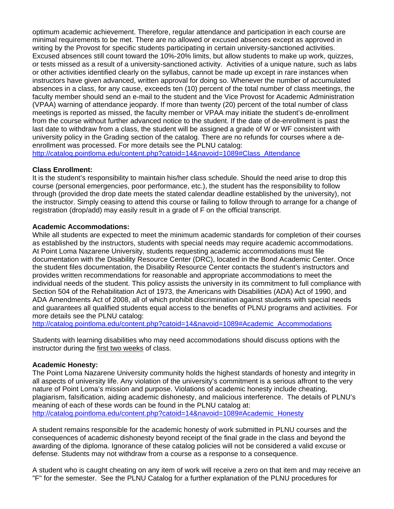optimum academic achievement. Therefore, regular attendance and participation in each course are minimal requirements to be met. There are no allowed or excused absences except as approved in writing by the Provost for specific students participating in certain university-sanctioned activities. Excused absences still count toward the 10%-20% limits, but allow students to make up work, quizzes, or tests missed as a result of a university-sanctioned activity. Activities of a unique nature, such as labs or other activities identified clearly on the syllabus, cannot be made up except in rare instances when instructors have given advanced, written approval for doing so. Whenever the number of accumulated absences in a class, for any cause, exceeds ten (10) percent of the total number of class meetings, the faculty member should send an e-mail to the student and the Vice Provost for Academic Administration (VPAA) warning of attendance jeopardy. If more than twenty (20) percent of the total number of class meetings is reported as missed, the faculty member or VPAA may initiate the student's de-enrollment from the course without further advanced notice to the student. If the date of de-enrollment is past the last date to withdraw from a class, the student will be assigned a grade of W or WF consistent with university policy in the Grading section of the catalog. There are no refunds for courses where a deenrollment was processed. For more details see the PLNU catalog:

http://catalog.pointloma.edu/content.php?catoid=14&navoid=1089#Class\_Attendance

## **Class Enrollment:**

It is the student's responsibility to maintain his/her class schedule. Should the need arise to drop this course (personal emergencies, poor performance, etc.), the student has the responsibility to follow through (provided the drop date meets the stated calendar deadline established by the university), not the instructor. Simply ceasing to attend this course or failing to follow through to arrange for a change of registration (drop/add) may easily result in a grade of F on the official transcript.

## **Academic Accommodations:**

While all students are expected to meet the minimum academic standards for completion of their courses as established by the instructors, students with special needs may require academic accommodations. At Point Loma Nazarene University, students requesting academic accommodations must file documentation with the Disability Resource Center (DRC), located in the Bond Academic Center. Once the student files documentation, the Disability Resource Center contacts the student's instructors and provides written recommendations for reasonable and appropriate accommodations to meet the individual needs of the student. This policy assists the university in its commitment to full compliance with Section 504 of the Rehabilitation Act of 1973, the Americans with Disabilities (ADA) Act of 1990, and ADA Amendments Act of 2008, all of which prohibit discrimination against students with special needs and guarantees all qualified students equal access to the benefits of PLNU programs and activities. For more details see the PLNU catalog:

http://catalog.pointloma.edu/content.php?catoid=14&navoid=1089#Academic\_Accommodations

Students with learning disabilities who may need accommodations should discuss options with the instructor during the first two weeks of class.

# **Academic Honesty:**

The Point Loma Nazarene University community holds the highest standards of honesty and integrity in all aspects of university life. Any violation of the university's commitment is a serious affront to the very nature of Point Loma's mission and purpose. Violations of academic honesty include cheating, plagiarism, falsification, aiding academic dishonesty, and malicious interference. The details of PLNU's meaning of each of these words can be found in the PLNU catalog at: http://catalog.pointloma.edu/content.php?catoid=14&navoid=1089#Academic\_Honesty

A student remains responsible for the academic honesty of work submitted in PLNU courses and the consequences of academic dishonesty beyond receipt of the final grade in the class and beyond the awarding of the diploma. Ignorance of these catalog policies will not be considered a valid excuse or defense. Students may not withdraw from a course as a response to a consequence.

A student who is caught cheating on any item of work will receive a zero on that item and may receive an "F" for the semester. See the PLNU Catalog for a further explanation of the PLNU procedures for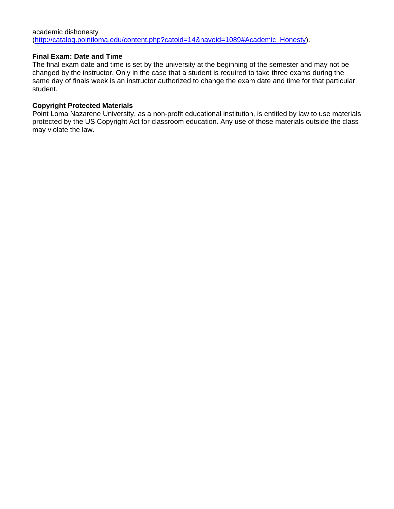## **Final Exam: Date and Time**

The final exam date and time is set by the university at the beginning of the semester and may not be changed by the instructor. Only in the case that a student is required to take three exams during the same day of finals week is an instructor authorized to change the exam date and time for that particular student.

## **Copyright Protected Materials**

Point Loma Nazarene University, as a non-profit educational institution, is entitled by law to use materials protected by the US Copyright Act for classroom education. Any use of those materials outside the class may violate the law.